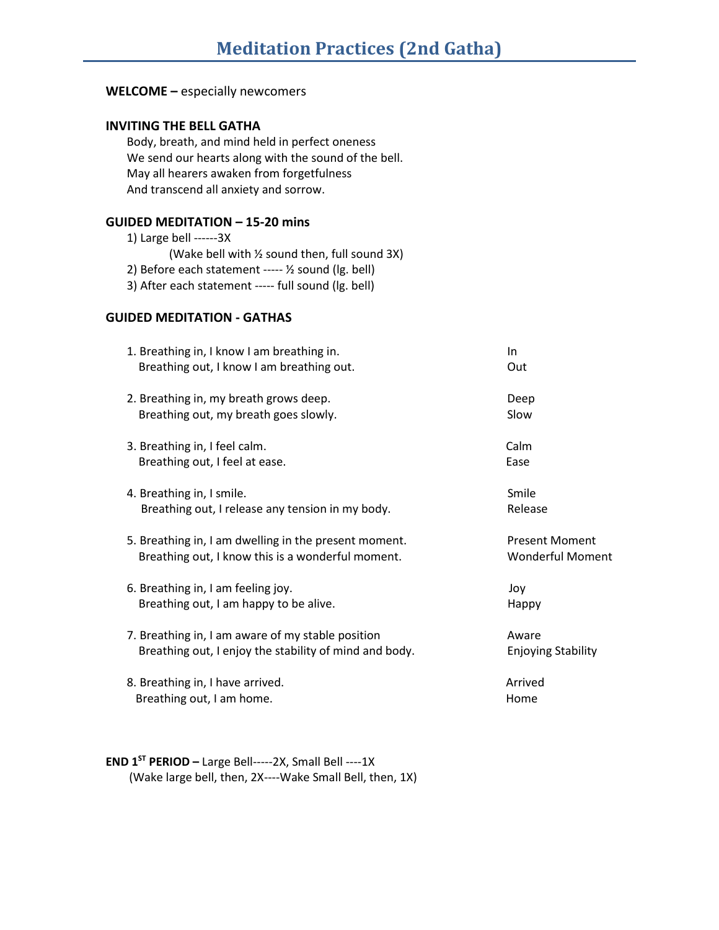# **WELCOME –** especially newcomers

## **INVITING THE BELL GATHA**

Body, breath, and mind held in perfect oneness We send our hearts along with the sound of the bell. May all hearers awaken from forgetfulness And transcend all anxiety and sorrow.

# **GUIDED MEDITATION – 15-20 mins**

### **GUIDED MEDITATION - GATHAS**

| 1. Breathing in, I know I am breathing in.<br>Breathing out, I know I am breathing out. | In.<br>Out                |
|-----------------------------------------------------------------------------------------|---------------------------|
|                                                                                         |                           |
| 2. Breathing in, my breath grows deep.                                                  | Deep                      |
| Breathing out, my breath goes slowly.                                                   | Slow                      |
| 3. Breathing in, I feel calm.                                                           | Calm                      |
| Breathing out, I feel at ease.                                                          | Ease                      |
| 4. Breathing in, I smile.                                                               | Smile                     |
| Breathing out, I release any tension in my body.                                        | Release                   |
| 5. Breathing in, I am dwelling in the present moment.                                   | <b>Present Moment</b>     |
| Breathing out, I know this is a wonderful moment.                                       | <b>Wonderful Moment</b>   |
| 6. Breathing in, I am feeling joy.                                                      | Joy                       |
| Breathing out, I am happy to be alive.                                                  | Happy                     |
|                                                                                         |                           |
| 7. Breathing in, I am aware of my stable position                                       | Aware                     |
| Breathing out, I enjoy the stability of mind and body.                                  | <b>Enjoying Stability</b> |
| 8. Breathing in, I have arrived.                                                        | Arrived                   |
| Breathing out, I am home.                                                               | Home                      |

**END 1ST PERIOD –** Large Bell-----2X, Small Bell ----1X (Wake large bell, then, 2X----Wake Small Bell, then, 1X)